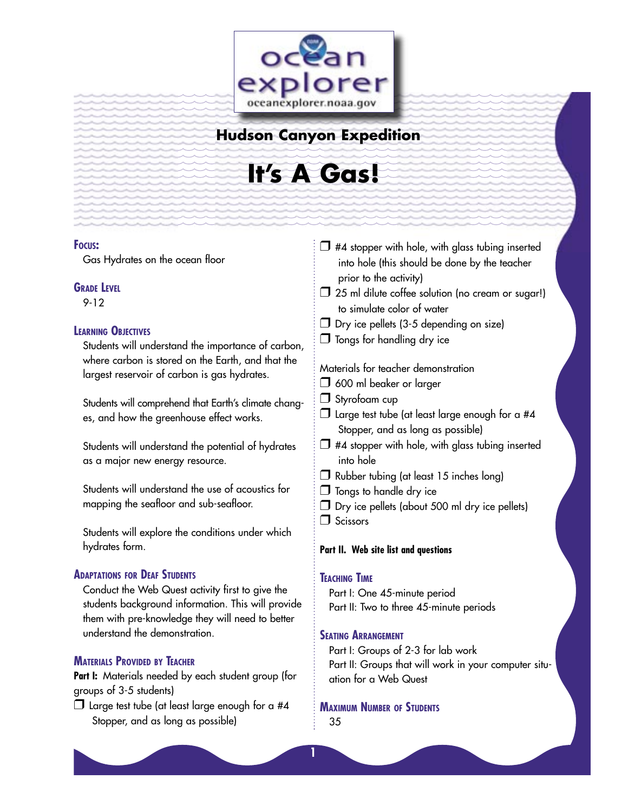

### **Hudson Canyon Expedition**

# **It's A Gas!**

#### **FOCUS:**

Gas Hydrates on the ocean floor

#### **GRADE LEVEL**

9-12

#### **LEARNING OBJECTIVES**

Students will understand the importance of carbon, where carbon is stored on the Earth, and that the largest reservoir of carbon is gas hydrates.

Students will comprehend that Earth's climate changes, and how the greenhouse effect works.

Students will understand the potential of hydrates as a major new energy resource.

Students will understand the use of acoustics for mapping the seafloor and sub-seafloor.

Students will explore the conditions under which hydrates form.

#### **ADAPTATIONS FOR DEAF STUDENTS**

Conduct the Web Quest activity first to give the students background information. This will provide them with pre-knowledge they will need to better understand the demonstration.

#### **MATERIALS PROVIDED BY TEACHER**

**Part I:** Materials needed by each student group (for groups of 3-5 students)

 $\Box$  Large test tube (at least large enough for a #4 Stopper, and as long as possible)

- $\Box$  #4 stopper with hole, with glass tubing inserted into hole (this should be done by the teacher prior to the activity)
- $\Box$  25 ml dilute coffee solution (no cream or sugar!) to simulate color of water
- $\Box$  Dry ice pellets (3-5 depending on size)
- $\Box$  Tongs for handling dry ice

Materials for teacher demonstration

- $\Box$  600 ml beaker or larger
- □ Styrofoam cup
- $\Box$  Large test tube (at least large enough for a #4 Stopper, and as long as possible)
- $\Box$  #4 stopper with hole, with glass tubing inserted into hole
- $\Box$  Rubber tubing (at least 15 inches long)
- $\Box$  Tongs to handle dry ice
- $\Box$  Dry ice pellets (about 500 ml dry ice pellets)
- $\Box$  Scissors

#### **Part II. Web site list and questions**

#### **TEACHING TIME**

**1**

Part I: One 45-minute period Part II: Two to three 45-minute periods

#### **SEATING ARRANGEMENT**

Part I: Groups of 2-3 for lab work Part II: Groups that will work in your computer situation for a Web Quest

**MAXIMUM NUMBER OF STUDENTS** 35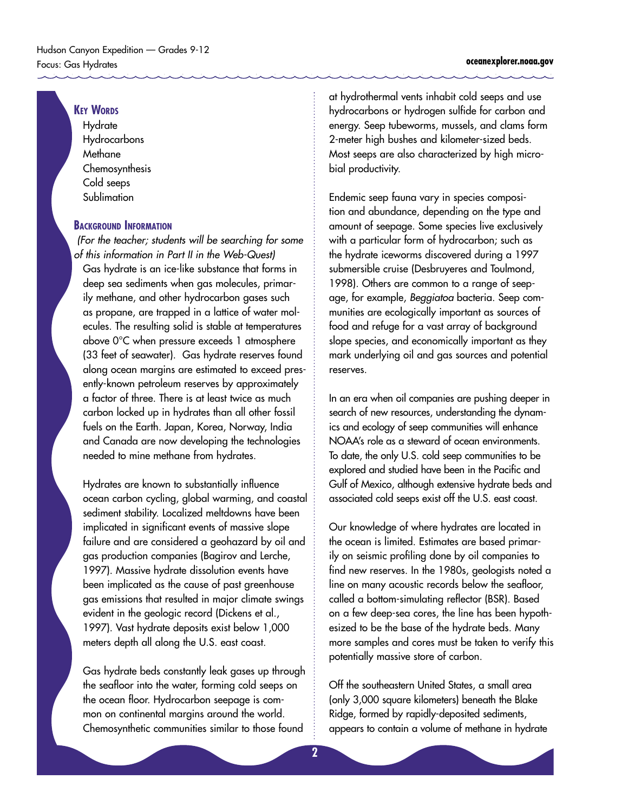#### **KEY WORDS**

**Hydrate** Hydrocarbons **Methane** Chemosynthesis Cold seeps Sublimation

#### **BACKGROUND INFORMATION**

 (For the teacher; students will be searching for some of this information in Part II in the Web-Quest) Gas hydrate is an ice-like substance that forms in deep sea sediments when gas molecules, primarily methane, and other hydrocarbon gases such as propane, are trapped in a lattice of water molecules. The resulting solid is stable at temperatures above 0°C when pressure exceeds 1 atmosphere (33 feet of seawater). Gas hydrate reserves found along ocean margins are estimated to exceed presently-known petroleum reserves by approximately a factor of three. There is at least twice as much carbon locked up in hydrates than all other fossil fuels on the Earth. Japan, Korea, Norway, India and Canada are now developing the technologies needed to mine methane from hydrates.

Hydrates are known to substantially influence ocean carbon cycling, global warming, and coastal sediment stability. Localized meltdowns have been implicated in significant events of massive slope failure and are considered a geohazard by oil and gas production companies (Bagirov and Lerche, 1997). Massive hydrate dissolution events have been implicated as the cause of past greenhouse gas emissions that resulted in major climate swings evident in the geologic record (Dickens et al., 1997). Vast hydrate deposits exist below 1,000 meters depth all along the U.S. east coast.

Gas hydrate beds constantly leak gases up through the seafloor into the water, forming cold seeps on the ocean floor. Hydrocarbon seepage is common on continental margins around the world. Chemosynthetic communities similar to those found

at hydrothermal vents inhabit cold seeps and use hydrocarbons or hydrogen sulfide for carbon and energy. Seep tubeworms, mussels, and clams form 2-meter high bushes and kilometer-sized beds. Most seeps are also characterized by high microbial productivity.

Endemic seep fauna vary in species composition and abundance, depending on the type and amount of seepage. Some species live exclusively with a particular form of hydrocarbon; such as the hydrate iceworms discovered during a 1997 submersible cruise (Desbruyeres and Toulmond, 1998). Others are common to a range of seepage, for example, Beggiatoa bacteria. Seep communities are ecologically important as sources of food and refuge for a vast array of background slope species, and economically important as they mark underlying oil and gas sources and potential reserves.

In an era when oil companies are pushing deeper in search of new resources, understanding the dynamics and ecology of seep communities will enhance NOAA's role as a steward of ocean environments. To date, the only U.S. cold seep communities to be explored and studied have been in the Pacific and Gulf of Mexico, although extensive hydrate beds and associated cold seeps exist off the U.S. east coast.

Our knowledge of where hydrates are located in the ocean is limited. Estimates are based primarily on seismic profiling done by oil companies to find new reserves. In the 1980s, geologists noted a line on many acoustic records below the seafloor, called a bottom-simulating reflector (BSR). Based on a few deep-sea cores, the line has been hypothesized to be the base of the hydrate beds. Many more samples and cores must be taken to verify this potentially massive store of carbon.

Off the southeastern United States, a small area (only 3,000 square kilometers) beneath the Blake Ridge, formed by rapidly-deposited sediments, appears to contain a volume of methane in hydrate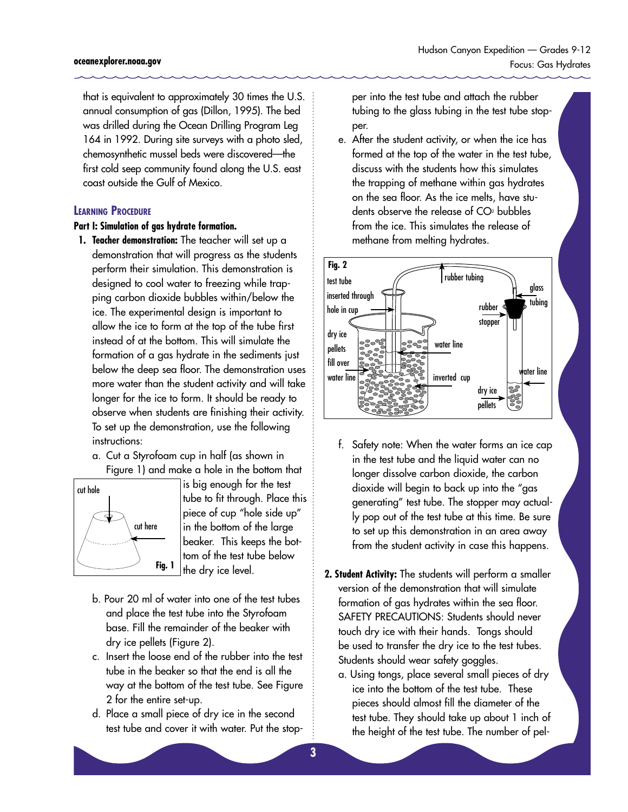that is equivalent to approximately 30 times the U.S. annual consumption of gas (Dillon, 1995). The bed was drilled during the Ocean Drilling Program Leg 164 in 1992. During site surveys with a photo sled, chemosynthetic mussel beds were discovered—the first cold seep community found along the U.S. east coast outside the Gulf of Mexico.

#### **LEARNING PROCEDURE**

#### **Part I: Simulation of gas hydrate formation.**

- **1. Teacher demonstration:** The teacher will set up a demonstration that will progress as the students perform their simulation. This demonstration is designed to cool water to freezing while trapping carbon dioxide bubbles within/below the ice. The experimental design is important to allow the ice to form at the top of the tube first instead of at the bottom. This will simulate the formation of a gas hydrate in the sediments just below the deep sea floor. The demonstration uses more water than the student activity and will take longer for the ice to form. It should be ready to observe when students are finishing their activity. To set up the demonstration, use the following instructions:
	- a. Cut a Styrofoam cup in half (as shown in Figure 1) and make a hole in the bottom that



is big enough for the test tube to fit through. Place this piece of cup "hole side up" in the bottom of the large beaker. This keeps the bottom of the test tube below the dry ice level.

- b. Pour 20 ml of water into one of the test tubes and place the test tube into the Styrofoam base. Fill the remainder of the beaker with dry ice pellets (Figure 2).
- c. Insert the loose end of the rubber into the test tube in the beaker so that the end is all the way at the bottom of the test tube. See Figure 2 for the entire set-up.
- d. Place a small piece of dry ice in the second test tube and cover it with water. Put the stop-

per into the test tube and attach the rubber tubing to the glass tubing in the test tube stopper.

e. After the student activity, or when the ice has formed at the top of the water in the test tube, discuss with the students how this simulates the trapping of methane within gas hydrates on the sea floor. As the ice melts, have students observe the release of  $CO<sub>2</sub>$  bubbles from the ice. This simulates the release of methane from melting hydrates.



- f. Safety note: When the water forms an ice cap in the test tube and the liquid water can no longer dissolve carbon dioxide, the carbon dioxide will begin to back up into the "gas generating" test tube. The stopper may actually pop out of the test tube at this time. Be sure to set up this demonstration in an area away from the student activity in case this happens.
- **2. Student Activity:** The students will perform a smaller version of the demonstration that will simulate formation of gas hydrates within the sea floor. SAFETY PRECAUTIONS: Students should never touch dry ice with their hands. Tongs should be used to transfer the dry ice to the test tubes. Students should wear safety goggles.
	- a. Using tongs, place several small pieces of dry ice into the bottom of the test tube. These pieces should almost fill the diameter of the test tube. They should take up about 1 inch of the height of the test tube. The number of pel-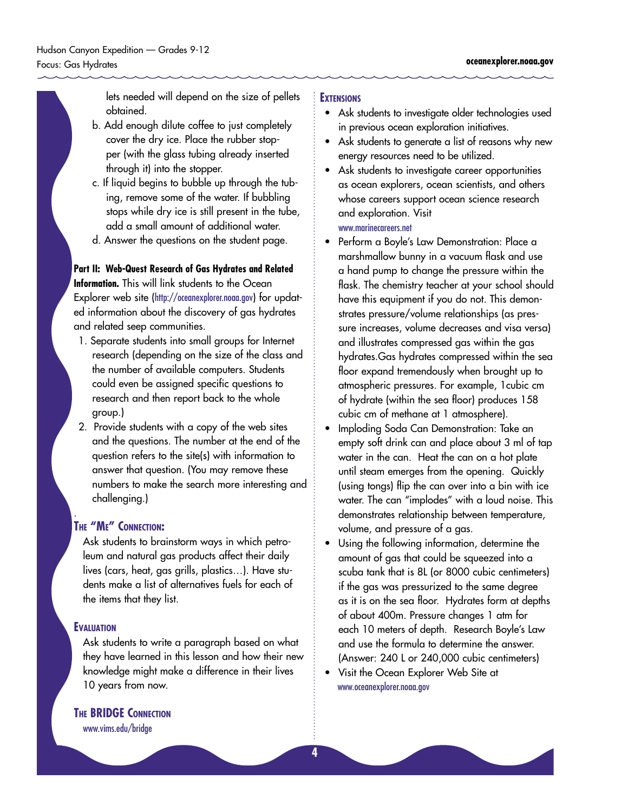lets needed will depend on the size of pellets obtained.

- b. Add enough dilute coffee to just completely cover the dry ice. Place the rubber stopper (with the glass tubing already inserted through it) into the stopper.
- c. If liquid begins to bubble up through the tubing, remove some of the water. If bubbling stops while dry ice is still present in the tube, add a small amount of additional water.
- d. Answer the questions on the student page.

#### **Part II: Web-Quest Research of Gas Hydrates and Related**

**Information.** This will link students to the Ocean Explorer web site (http://oceanexplorer.noaa.gov) for updated information about the discovery of gas hydrates and related seep communities.

- 1. Separate students into small groups for Internet research (depending on the size of the class and the number of available computers. Students could even be assigned specific questions to research and then report back to the whole group.)
- 2. Provide students with a copy of the web sites and the questions. The number at the end of the question refers to the site(s) with information to answer that question. (You may remove these numbers to make the search more interesting and challenging.)

#### **THE "ME" CONNECTION:**

Ask students to brainstorm ways in which petroleum and natural gas products affect their daily lives (cars, heat, gas grills, plastics…). Have students make a list of alternatives fuels for each of the items that they list.

#### **EVALUATION**

.

Ask students to write a paragraph based on what they have learned in this lesson and how their new knowledge might make a difference in their lives 10 years from now.

#### **EXTENSIONS**

- Ask students to investigate older technologies used in previous ocean exploration initiatives.
- Ask students to generate a list of reasons why new energy resources need to be utilized.
- Ask students to investigate career opportunities as ocean explorers, ocean scientists, and others whose careers support ocean science research and exploration. Visit www.marinecareers.net
- Perform a Boyle's Law Demonstration: Place a marshmallow bunny in a vacuum flask and use a hand pump to change the pressure within the flask. The chemistry teacher at your school should have this equipment if you do not. This demonstrates pressure/volume relationships (as pressure increases, volume decreases and visa versa) and illustrates compressed gas within the gas hydrates.Gas hydrates compressed within the sea floor expand tremendously when brought up to atmospheric pressures. For example, 1cubic cm of hydrate (within the sea floor) produces 158 cubic cm of methane at 1 atmosphere).
- Imploding Soda Can Demonstration: Take an empty soft drink can and place about 3 ml of tap water in the can. Heat the can on a hot plate until steam emerges from the opening. Quickly (using tongs) flip the can over into a bin with ice water. The can "implodes" with a loud noise. This demonstrates relationship between temperature, volume, and pressure of a gas.
- Using the following information, determine the amount of gas that could be squeezed into a scuba tank that is 8L (or 8000 cubic centimeters) if the gas was pressurized to the same degree as it is on the sea floor. Hydrates form at depths of about 400m. Pressure changes 1 atm for each 10 meters of depth. Research Boyle's Law and use the formula to determine the answer. (Answer: 240 L or 240,000 cubic centimeters)
- Visit the Ocean Explorer Web Site at <www.oceanexplorer.noaa.gov>

**THE BRIDGE CONNECTION** 

www.vims.edu/bridge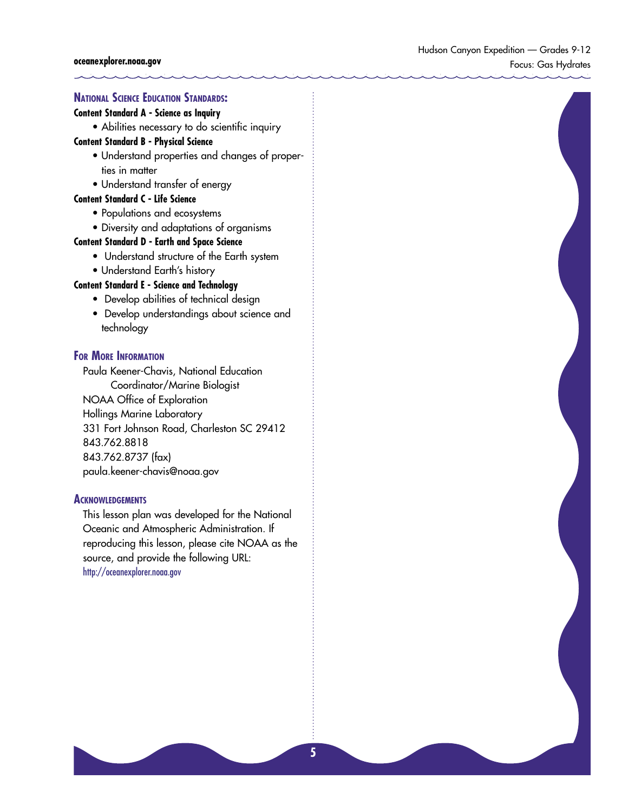#### **NATIONAL SCIENCE EDUCATION STANDARDS:**

#### **Content Standard A - Science as Inquiry**

• Abilities necessary to do scientific inquiry

#### **Content Standard B - Physical Science**

- Understand properties and changes of properties in matter
- Understand transfer of energy

#### **Content Standard C - Life Science**

- Populations and ecosystems
- Diversity and adaptations of organisms

#### **Content Standard D - Earth and Space Science**

- Understand structure of the Earth system
- Understand Earth's history

#### **Content Standard E - Science and Technology**

- Develop abilities of technical design
- Develop understandings about science and technology

#### **FOR MORE INFORMATION**

Paula Keener-Chavis, National Education Coordinator/Marine Biologist NOAA Office of Exploration Hollings Marine Laboratory 331 Fort Johnson Road, Charleston SC 29412 843.762.8818 843.762.8737 (fax) paula.keener-chavis@noaa.gov

#### **ACKNOWLEDGEMENTS**

This lesson plan was developed for the National Oceanic and Atmospheric Administration. If reproducing this lesson, please cite NOAA as the source, and provide the following URL: <http://oceanexplorer.noaa.gov>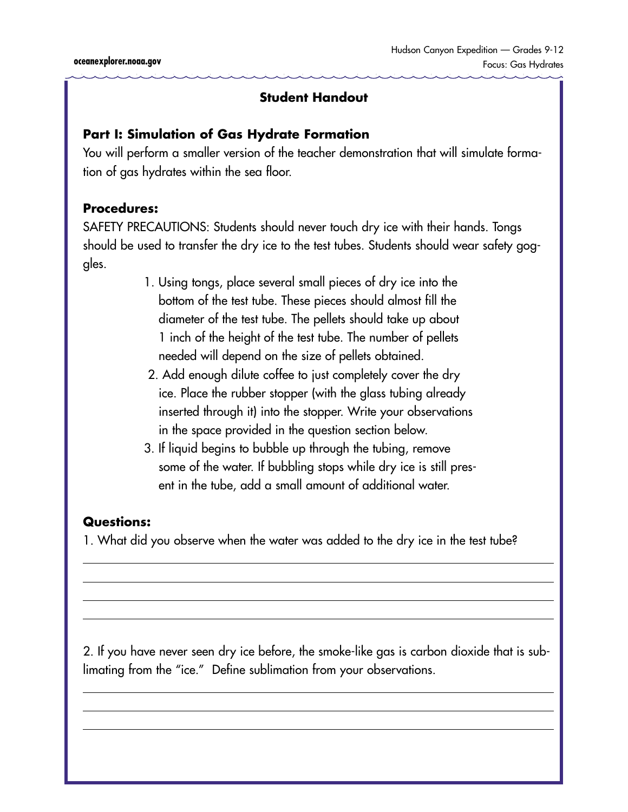### **Part I: Simulation of Gas Hydrate Formation**

You will perform a smaller version of the teacher demonstration that will simulate formation of gas hydrates within the sea floor.

### **Procedures:**

SAFETY PRECAUTIONS: Students should never touch dry ice with their hands. Tongs should be used to transfer the dry ice to the test tubes. Students should wear safety goggles.

- 1. Using tongs, place several small pieces of dry ice into the bottom of the test tube. These pieces should almost fill the diameter of the test tube. The pellets should take up about 1 inch of the height of the test tube. The number of pellets needed will depend on the size of pellets obtained.
- 2. Add enough dilute coffee to just completely cover the dry ice. Place the rubber stopper (with the glass tubing already inserted through it) into the stopper. Write your observations in the space provided in the question section below.
- 3. If liquid begins to bubble up through the tubing, remove some of the water. If bubbling stops while dry ice is still present in the tube, add a small amount of additional water.

### **Questions:**

1. What did you observe when the water was added to the dry ice in the test tube?

2. If you have never seen dry ice before, the smoke-like gas is carbon dioxide that is sublimating from the "ice." Define sublimation from your observations.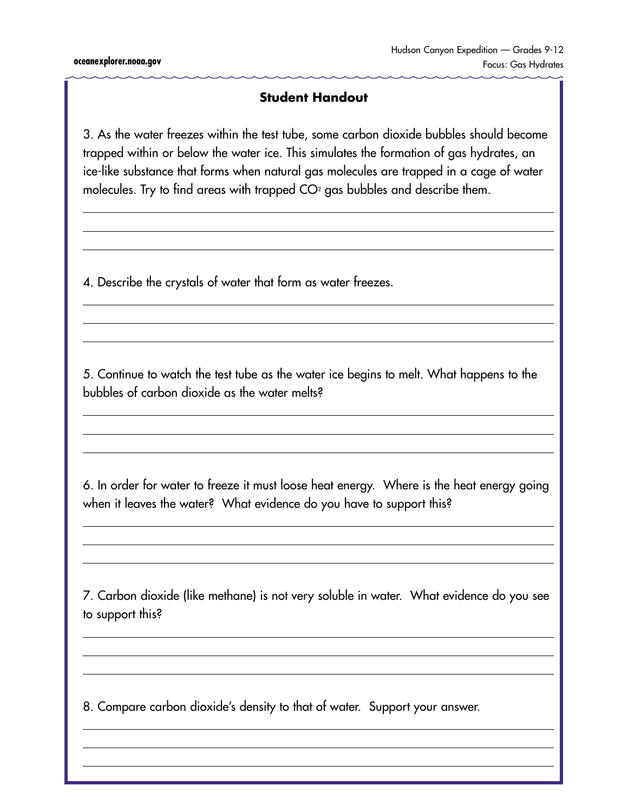3. As the water freezes within the test tube, some carbon dioxide bubbles should become trapped within or below the water ice. This simulates the formation of gas hydrates, an ice-like substance that forms when natural gas molecules are trapped in a cage of water molecules. Try to find areas with trapped  $CO<sup>2</sup>$  gas bubbles and describe them.

4. Describe the crystals of water that form as water freezes.

5. Continue to watch the test tube as the water ice begins to melt. What happens to the bubbles of carbon dioxide as the water melts?

6. In order for water to freeze it must loose heat energy. Where is the heat energy going when it leaves the water? What evidence do you have to support this?

7. Carbon dioxide (like methane) is not very soluble in water. What evidence do you see to support this?

8. Compare carbon dioxide's density to that of water. Support your answer.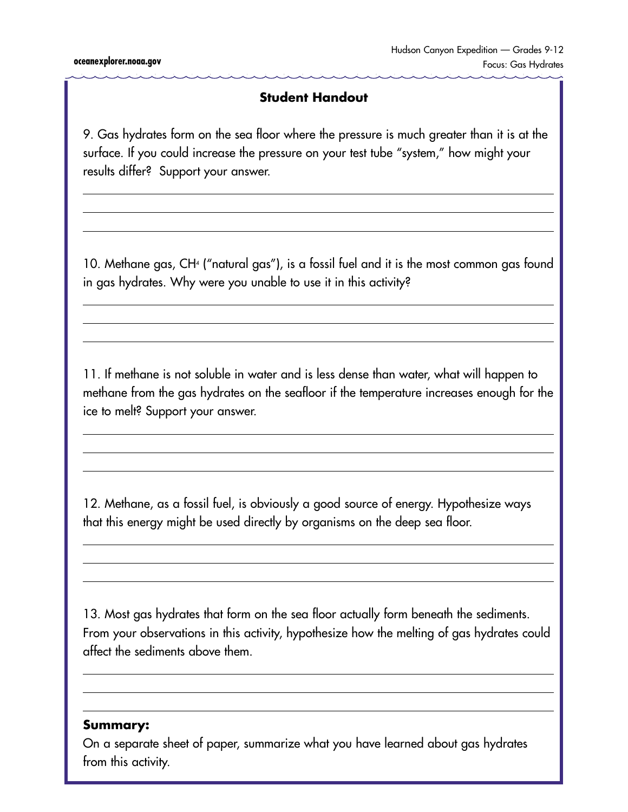9. Gas hydrates form on the sea floor where the pressure is much greater than it is at the surface. If you could increase the pressure on your test tube "system," how might your results differ? Support your answer.

10. Methane gas, CH4 ("natural gas"), is a fossil fuel and it is the most common gas found in gas hydrates. Why were you unable to use it in this activity?

11. If methane is not soluble in water and is less dense than water, what will happen to methane from the gas hydrates on the seafloor if the temperature increases enough for the ice to melt? Support your answer.

12. Methane, as a fossil fuel, is obviously a good source of energy. Hypothesize ways that this energy might be used directly by organisms on the deep sea floor.

13. Most gas hydrates that form on the sea floor actually form beneath the sediments. From your observations in this activity, hypothesize how the melting of gas hydrates could affect the sediments above them.

### **Summary:**

On a separate sheet of paper, summarize what you have learned about gas hydrates from this activity.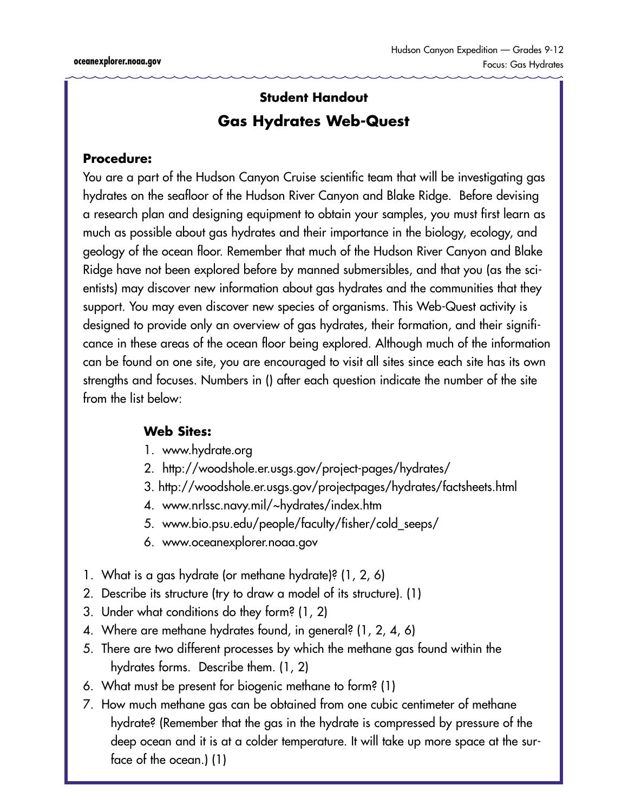## **Student Handout Gas Hydrates Web-Quest**

### **Procedure:**

You are a part of the Hudson Canyon Cruise scientific team that will be investigating gas hydrates on the seafloor of the Hudson River Canyon and Blake Ridge. Before devising a research plan and designing equipment to obtain your samples, you must first learn as much as possible about gas hydrates and their importance in the biology, ecology, and geology of the ocean floor. Remember that much of the Hudson River Canyon and Blake Ridge have not been explored before by manned submersibles, and that you (as the scientists) may discover new information about gas hydrates and the communities that they support. You may even discover new species of organisms. This Web-Quest activity is designed to provide only an overview of gas hydrates, their formation, and their significance in these areas of the ocean floor being explored. Although much of the information can be found on one site, you are encouraged to visit all sites since each site has its own strengths and focuses. Numbers in () after each question indicate the number of the site from the list below:

### **Web Sites:**

- 1. <www.hydrate.org>
- 2. <http://woodshole.er.usgs.gov/project-pages/hydrates/>
- 3. <http://woodshole.er.usgs.gov/projectpages/hydrates/factsheets.html>
- 4. <www.nrlssc.navy.mil/~hydrates/index.htm>
- 5. [www.bio.psu.edu/people/faculty/fisher/cold\\_seeps/](www.bio.psu.edu/people/faculty/fisher/cold_seeps/)
- 6. [www.oceanexplorer.noaa.gov](www.oceanexplorer.noaa.gov )
- 1. What is a gas hydrate (or methane hydrate)? (1, 2, 6)
- 2. Describe its structure (try to draw a model of its structure). (1)
- 3. Under what conditions do they form? (1, 2)
- 4. Where are methane hydrates found, in general? (1, 2, 4, 6)
- 5. There are two different processes by which the methane gas found within the hydrates forms. Describe them. (1, 2)
- 6. What must be present for biogenic methane to form? (1)
- 7. How much methane gas can be obtained from one cubic centimeter of methane hydrate? (Remember that the gas in the hydrate is compressed by pressure of the deep ocean and it is at a colder temperature. It will take up more space at the surface of the ocean.) (1)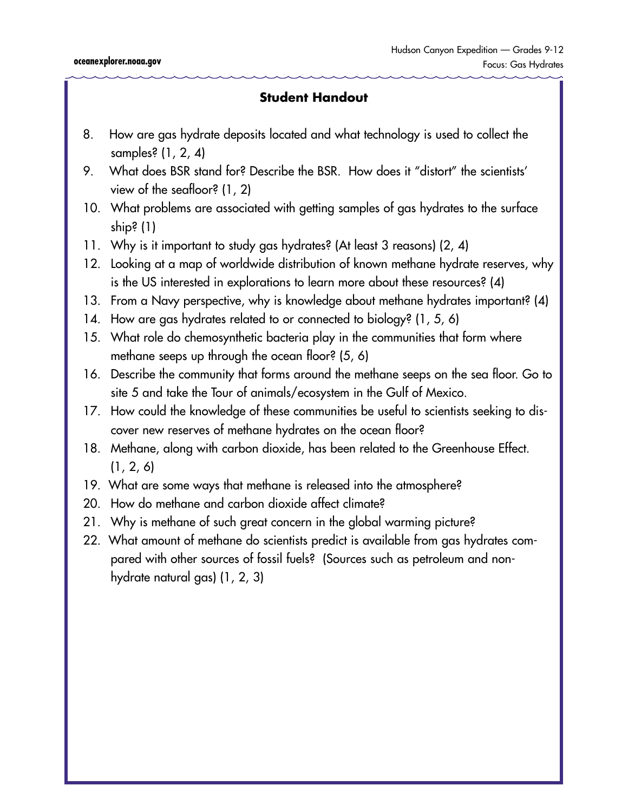- 8. How are gas hydrate deposits located and what technology is used to collect the samples? (1, 2, 4)
- 9. What does BSR stand for? Describe the BSR. How does it "distort" the scientists' view of the seafloor? (1, 2)
- 10. What problems are associated with getting samples of gas hydrates to the surface ship? (1)
- 11. Why is it important to study gas hydrates? (At least 3 reasons) (2, 4)
- 12. Looking at a map of worldwide distribution of known methane hydrate reserves, why is the US interested in explorations to learn more about these resources? (4)
- 13. From a Navy perspective, why is knowledge about methane hydrates important? (4)
- 14. How are gas hydrates related to or connected to biology? (1, 5, 6)
- 15. What role do chemosynthetic bacteria play in the communities that form where methane seeps up through the ocean floor? (5, 6)
- 16. Describe the community that forms around the methane seeps on the sea floor. Go to site 5 and take the Tour of animals/ecosystem in the Gulf of Mexico.
- 17. How could the knowledge of these communities be useful to scientists seeking to discover new reserves of methane hydrates on the ocean floor?
- 18. Methane, along with carbon dioxide, has been related to the Greenhouse Effect.  $(1, 2, 6)$
- 19. What are some ways that methane is released into the atmosphere?
- 20. How do methane and carbon dioxide affect climate?
- 21. Why is methane of such great concern in the global warming picture?
- 22. What amount of methane do scientists predict is available from gas hydrates compared with other sources of fossil fuels? (Sources such as petroleum and nonhydrate natural gas) (1, 2, 3)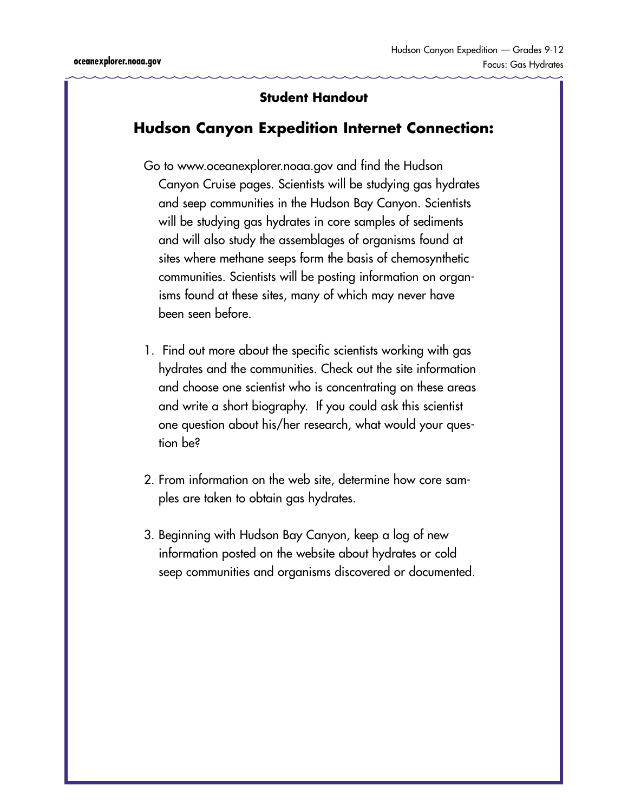### **Hudson Canyon Expedition Internet Connection:**

- Go to <www.oceanexplorer.noaa.gov>and find the Hudson Canyon Cruise pages. Scientists will be studying gas hydrates and seep communities in the Hudson Bay Canyon. Scientists will be studying gas hydrates in core samples of sediments and will also study the assemblages of organisms found at sites where methane seeps form the basis of chemosynthetic communities. Scientists will be posting information on organisms found at these sites, many of which may never have been seen before.
- 1. Find out more about the specific scientists working with gas hydrates and the communities. Check out the site information and choose one scientist who is concentrating on these areas and write a short biography. If you could ask this scientist one question about his/her research, what would your question be?
- 2. From information on the web site, determine how core samples are taken to obtain gas hydrates.
- 3. Beginning with Hudson Bay Canyon, keep a log of new information posted on the website about hydrates or cold seep communities and organisms discovered or documented.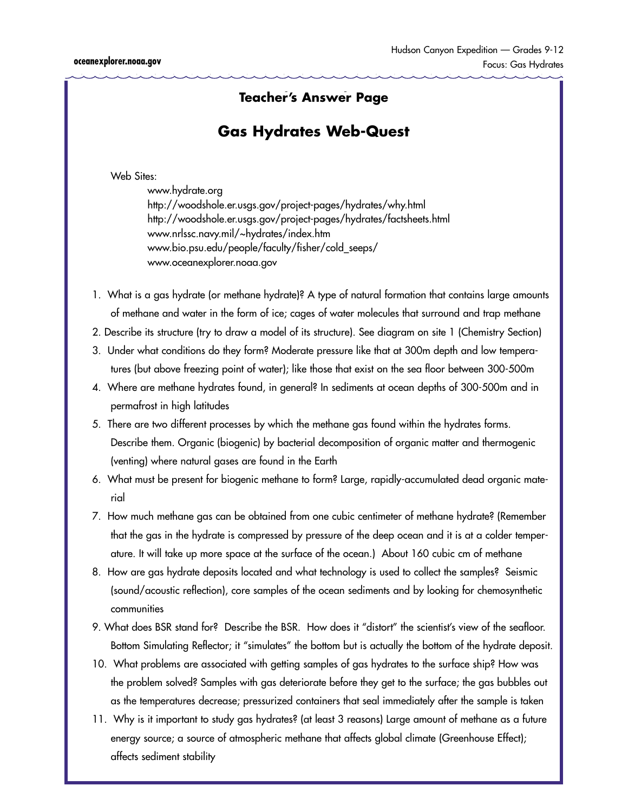### **Teacher's Answer Page Student Handoute Handoute Handoute Handoute Handoute Handoute Handoute Handoute Handoute**

### **Gas Hydrates Web-Quest**

Web Sites:

 <www.hydrate.org> <http://woodshole.er.usgs.gov/project-pages/hydrates/why.html> <http://woodshole.er.usgs.gov/project-pages/hydrates/factsheets.html> <www.nrlssc.navy.mil/~hydrates/index.htm> [www.bio.psu.edu/people/faculty/fisher/cold\\_seeps/](www.bio.psu.edu/people/faculty/fisher/cold_seeps/) <www.oceanexplorer.noaa.gov>

- 1. What is a gas hydrate (or methane hydrate)? A type of natural formation that contains large amounts of methane and water in the form of ice; cages of water molecules that surround and trap methane
- 2. Describe its structure (try to draw a model of its structure). See diagram on site 1 (Chemistry Section)
- 3. Under what conditions do they form? Moderate pressure like that at 300m depth and low temperatures (but above freezing point of water); like those that exist on the sea floor between 300-500m
- 4. Where are methane hydrates found, in general? In sediments at ocean depths of 300-500m and in permafrost in high latitudes
- 5. There are two different processes by which the methane gas found within the hydrates forms. Describe them. Organic (biogenic) by bacterial decomposition of organic matter and thermogenic (venting) where natural gases are found in the Earth
- 6. What must be present for biogenic methane to form? Large, rapidly-accumulated dead organic material
- 7. How much methane gas can be obtained from one cubic centimeter of methane hydrate? (Remember that the gas in the hydrate is compressed by pressure of the deep ocean and it is at a colder temperature. It will take up more space at the surface of the ocean.) About 160 cubic cm of methane
- 8. How are gas hydrate deposits located and what technology is used to collect the samples? Seismic (sound/acoustic reflection), core samples of the ocean sediments and by looking for chemosynthetic communities
- 9. What does BSR stand for? Describe the BSR. How does it "distort" the scientist's view of the seafloor. Bottom Simulating Reflector; it "simulates" the bottom but is actually the bottom of the hydrate deposit.
- 10. What problems are associated with getting samples of gas hydrates to the surface ship? How was the problem solved? Samples with gas deteriorate before they get to the surface; the gas bubbles out as the temperatures decrease; pressurized containers that seal immediately after the sample is taken
- 11. Why is it important to study gas hydrates? (at least 3 reasons) Large amount of methane as a future energy source; a source of atmospheric methane that affects global climate (Greenhouse Effect); affects sediment stability